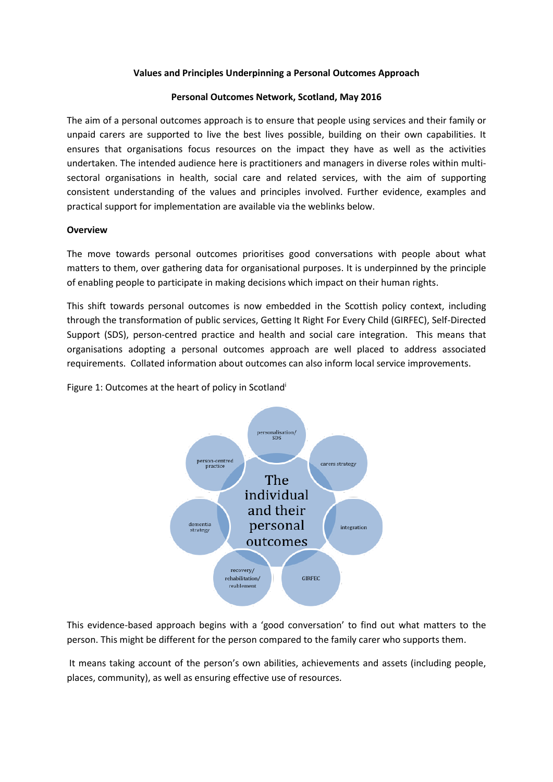## **Values and Principles Underpinning a Personal Outcomes Approach**

## **Personal Outcomes Network, Scotland, May 2016**

The aim of a personal outcomes approach is to ensure that people using services and their family or unpaid carers are supported to live the best lives possible, building on their own capabilities. It ensures that organisations focus resources on the impact they have as well as the activities undertaken. The intended audience here is practitioners and managers in diverse roles within multisectoral organisations in health, social care and related services, with the aim of supporting consistent understanding of the values and principles involved. Further evidence, examples and practical support for implementation are available via the weblinks below.

# **Overview**

The move towards personal outcomes prioritises good conversations with people about what matters to them, over gathering data for organisational purposes. It is underpinned by the principle of enabling people to participate in making decisions which impact on their human rights.

This shift towards personal outcomes is now embedded in the Scottish policy context, including through the transformation of public services, Getting It Right For Every Child (GIRFEC), Self-Directed Support (SDS), person-centred practice and health and social care integration. This means that organisations adopting a personal outcomes approach are well placed to address associated requirements. Collated information about outcomes can also inform local service improvements.

Figure 1: Outcomes at the heart of policy in Scotland<sup>i</sup>



This evidence-based approach begins with a 'good conversation' to find out what matters to the person. This might be different for the person compared to the family carer who supports them.

It means taking account of the person's own abilities, achievements and assets (including people, places, community), as well as ensuring effective use of resources.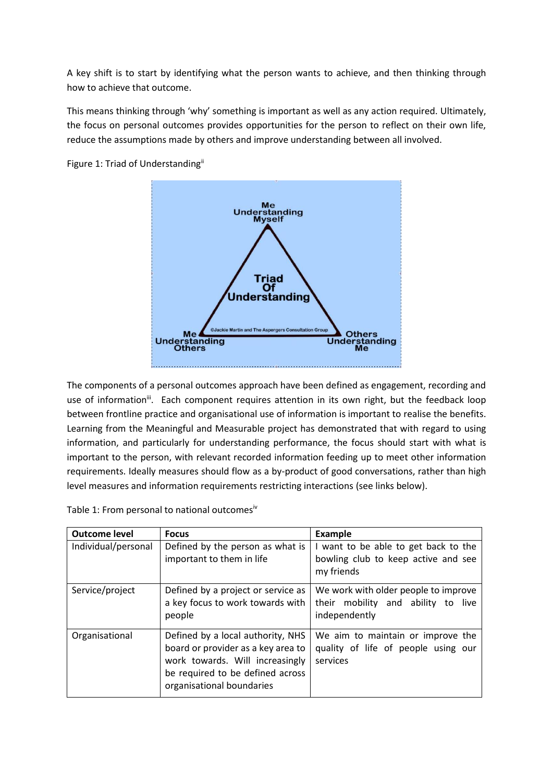A key shift is to start by identifying what the person wants to achieve, and then thinking through how to achieve that outcome.

This means thinking through 'why' something is important as well as any action required. Ultimately, the focus on personal outcomes provides opportunities for the person to reflect on their own life, reduce the assumptions made by others and improve understanding between all involved.



Figure 1: Triad of Understandingii

The components of a personal outcomes approach have been defined as engagement, recording and use of information<sup>ii</sup>. Each component requires attention in its own right, but the feedback loop between frontline practice and organisational use of information is important to realise the benefits. Learning from the Meaningful and Measurable project has demonstrated that with regard to using information, and particularly for understanding performance, the focus should start with what is important to the person, with relevant recorded information feeding up to meet other information requirements. Ideally measures should flow as a by-product of good conversations, rather than high level measures and information requirements restricting interactions (see links below).

| <b>Outcome level</b> | <b>Focus</b>                                                                                                                                                                | <b>Example</b>                                                                              |
|----------------------|-----------------------------------------------------------------------------------------------------------------------------------------------------------------------------|---------------------------------------------------------------------------------------------|
| Individual/personal  | Defined by the person as what is<br>important to them in life                                                                                                               | I want to be able to get back to the<br>bowling club to keep active and see<br>my friends   |
| Service/project      | Defined by a project or service as<br>a key focus to work towards with<br>people                                                                                            | We work with older people to improve<br>their mobility and ability to live<br>independently |
| Organisational       | Defined by a local authority, NHS<br>board or provider as a key area to<br>work towards. Will increasingly<br>be required to be defined across<br>organisational boundaries | We aim to maintain or improve the<br>quality of life of people using our<br>services        |

Table 1: From personal to national outcomes<sup>iv</sup>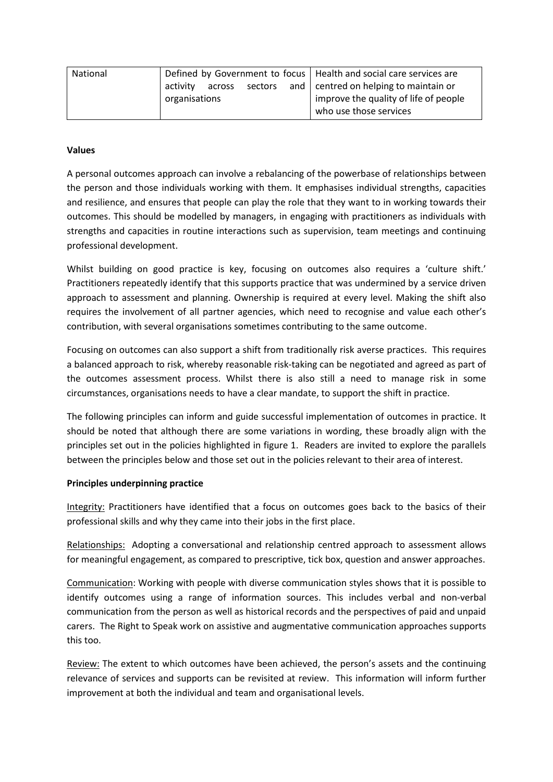| National |                 | Defined by Government to focus   Health and social care services are |
|----------|-----------------|----------------------------------------------------------------------|
|          | activity across | sectors and $ $ centred on helping to maintain or                    |
|          | organisations   | improve the quality of life of people                                |
|          |                 | who use those services                                               |

# **Values**

A personal outcomes approach can involve a rebalancing of the powerbase of relationships between the person and those individuals working with them. It emphasises individual strengths, capacities and resilience, and ensures that people can play the role that they want to in working towards their outcomes. This should be modelled by managers, in engaging with practitioners as individuals with strengths and capacities in routine interactions such as supervision, team meetings and continuing professional development.

Whilst building on good practice is key, focusing on outcomes also requires a 'culture shift.' Practitioners repeatedly identify that this supports practice that was undermined by a service driven approach to assessment and planning. Ownership is required at every level. Making the shift also requires the involvement of all partner agencies, which need to recognise and value each other's contribution, with several organisations sometimes contributing to the same outcome.

Focusing on outcomes can also support a shift from traditionally risk averse practices. This requires a balanced approach to risk, whereby reasonable risk-taking can be negotiated and agreed as part of the outcomes assessment process. Whilst there is also still a need to manage risk in some circumstances, organisations needs to have a clear mandate, to support the shift in practice.

The following principles can inform and guide successful implementation of outcomes in practice. It should be noted that although there are some variations in wording, these broadly align with the principles set out in the policies highlighted in figure 1. Readers are invited to explore the parallels between the principles below and those set out in the policies relevant to their area of interest.

# **Principles underpinning practice**

Integrity: Practitioners have identified that a focus on outcomes goes back to the basics of their professional skills and why they came into their jobs in the first place.

Relationships: Adopting a conversational and relationship centred approach to assessment allows for meaningful engagement, as compared to prescriptive, tick box, question and answer approaches.

Communication: Working with people with diverse communication styles shows that it is possible to identify outcomes using a range of information sources. This includes verbal and non-verbal communication from the person as well as historical records and the perspectives of paid and unpaid carers. The Right to Speak work on assistive and augmentative communication approaches supports this too.

Review: The extent to which outcomes have been achieved, the person's assets and the continuing relevance of services and supports can be revisited at review. This information will inform further improvement at both the individual and team and organisational levels.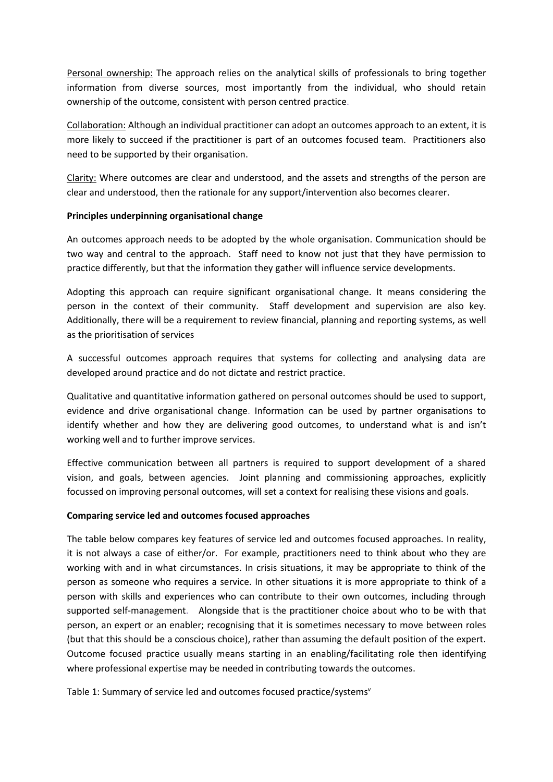Personal ownership: The approach relies on the analytical skills of professionals to bring together information from diverse sources, most importantly from the individual, who should retain ownership of the outcome, consistent with person centred practice.

Collaboration: Although an individual practitioner can adopt an outcomes approach to an extent, it is more likely to succeed if the practitioner is part of an outcomes focused team. Practitioners also need to be supported by their organisation.

Clarity: Where outcomes are clear and understood, and the assets and strengths of the person are clear and understood, then the rationale for any support/intervention also becomes clearer.

# **Principles underpinning organisational change**

An outcomes approach needs to be adopted by the whole organisation. Communication should be two way and central to the approach. Staff need to know not just that they have permission to practice differently, but that the information they gather will influence service developments.

Adopting this approach can require significant organisational change. It means considering the person in the context of their community. Staff development and supervision are also key. Additionally, there will be a requirement to review financial, planning and reporting systems, as well as the prioritisation of services

A successful outcomes approach requires that systems for collecting and analysing data are developed around practice and do not dictate and restrict practice.

Qualitative and quantitative information gathered on personal outcomes should be used to support, evidence and drive organisational change. Information can be used by partner organisations to identify whether and how they are delivering good outcomes, to understand what is and isn't working well and to further improve services.

Effective communication between all partners is required to support development of a shared vision, and goals, between agencies. Joint planning and commissioning approaches, explicitly focussed on improving personal outcomes, will set a context for realising these visions and goals.

### **Comparing service led and outcomes focused approaches**

The table below compares key features of service led and outcomes focused approaches. In reality, it is not always a case of either/or. For example, practitioners need to think about who they are working with and in what circumstances. In crisis situations, it may be appropriate to think of the person as someone who requires a service. In other situations it is more appropriate to think of a person with skills and experiences who can contribute to their own outcomes, including through supported self-management. Alongside that is the practitioner choice about who to be with that person, an expert or an enabler; recognising that it is sometimes necessary to move between roles (but that this should be a conscious choice), rather than assuming the default position of the expert. Outcome focused practice usually means starting in an enabling/facilitating role then identifying where professional expertise may be needed in contributing towards the outcomes.

Table 1: Summary of service led and outcomes focused practice/systems<sup>v</sup>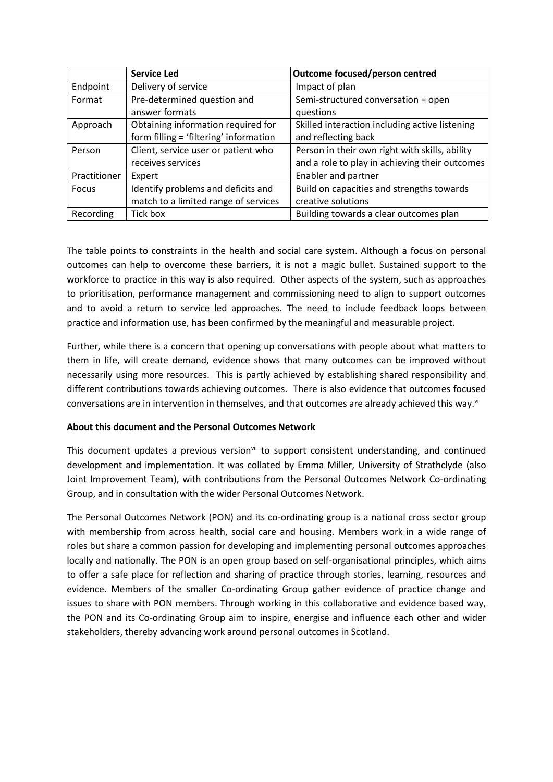|              | <b>Service Led</b>                     | Outcome focused/person centred                 |
|--------------|----------------------------------------|------------------------------------------------|
| Endpoint     | Delivery of service                    | Impact of plan                                 |
| Format       | Pre-determined question and            | Semi-structured conversation = open            |
|              | answer formats                         | questions                                      |
| Approach     | Obtaining information required for     | Skilled interaction including active listening |
|              | form filling = 'filtering' information | and reflecting back                            |
| Person       | Client, service user or patient who    | Person in their own right with skills, ability |
|              | receives services                      | and a role to play in achieving their outcomes |
| Practitioner | Expert                                 | <b>Enabler and partner</b>                     |
| <b>Focus</b> | Identify problems and deficits and     | Build on capacities and strengths towards      |
|              | match to a limited range of services   | creative solutions                             |
| Recording    | Tick box                               | Building towards a clear outcomes plan         |

The table points to constraints in the health and social care system. Although a focus on personal outcomes can help to overcome these barriers, it is not a magic bullet. Sustained support to the workforce to practice in this way is also required. Other aspects of the system, such as approaches to prioritisation, performance management and commissioning need to align to support outcomes and to avoid a return to service led approaches. The need to include feedback loops between practice and information use, has been confirmed by the meaningful and measurable project.

Further, while there is a concern that opening up conversations with people about what matters to them in life, will create demand, evidence shows that many outcomes can be improved without necessarily using more resources. This is partly achieved by establishing shared responsibility and different contributions towards achieving outcomes. There is also evidence that outcomes focused conversations are in intervention in themselves, and that outcomes are already achieved this way. $\mathbb{N}$ 

# **About this document and the Personal Outcomes Network**

This document updates a previous version<sup>vii</sup> to support consistent understanding, and continued development and implementation. It was collated by Emma Miller, University of Strathclyde (also Joint Improvement Team), with contributions from the Personal Outcomes Network Co-ordinating Group, and in consultation with the wider Personal Outcomes Network.

The Personal Outcomes Network (PON) and its co-ordinating group is a national cross sector group with membership from across health, social care and housing. Members work in a wide range of roles but share a common passion for developing and implementing personal outcomes approaches locally and nationally. The PON is an open group based on self-organisational principles, which aims to offer a safe place for reflection and sharing of practice through stories, learning, resources and evidence. Members of the smaller Co-ordinating Group gather evidence of practice change and issues to share with PON members. Through working in this collaborative and evidence based way, the PON and its Co-ordinating Group aim to inspire, energise and influence each other and wider stakeholders, thereby advancing work around personal outcomes in Scotland.